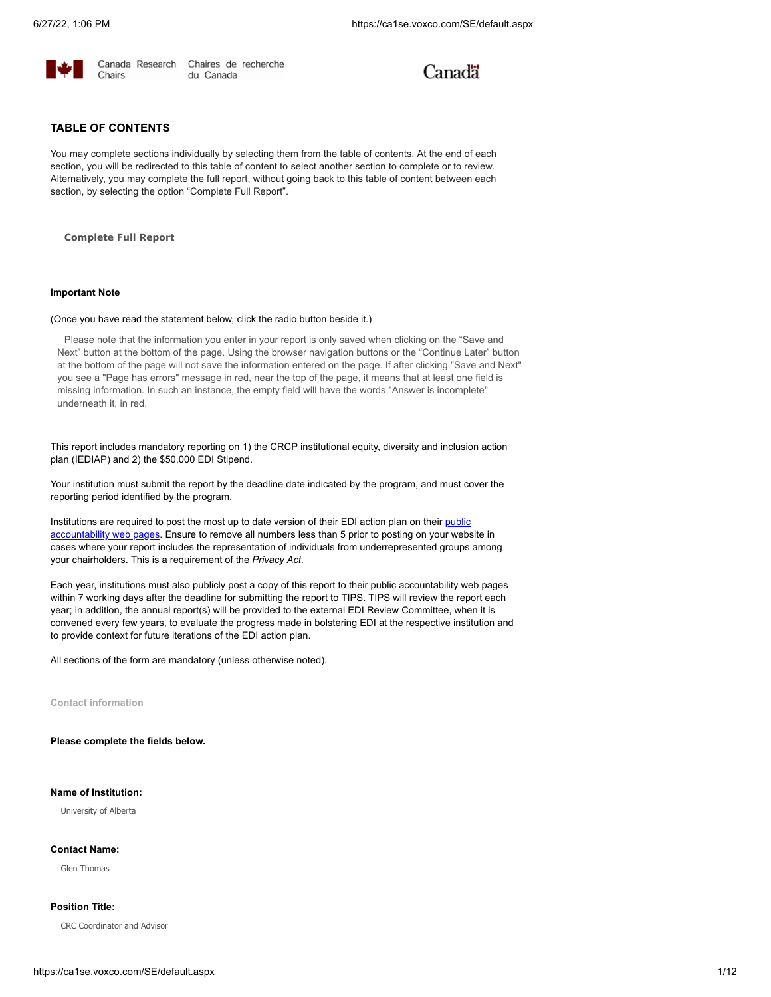

Chaires de recherche du Canada

# Canadä

## **TABLE OF CONTENTS**

You may complete sections individually by selecting them from the table of contents. At the end of each section, you will be redirected to this table of content to select another section to complete or to review. Alternatively, you may complete the full report, without going back to this table of content between each section, by selecting the option "Complete Full Report".

**Complete Full Report**

#### **Important Note**

#### (Once you have read the statement below, click the radio button beside it.)

Please note that the information you enter in your report is only saved when clicking on the "Save and Next" button at the bottom of the page. Using the browser navigation buttons or the "Continue Later" button at the bottom of the page will not save the information entered on the page. If after clicking "Save and Next" you see a "Page has errors" message in red, near the top of the page, it means that at least one field is missing information. In such an instance, the empty field will have the words "Answer is incomplete" underneath it, in red.

This report includes mandatory reporting on 1) the CRCP institutional equity, diversity and inclusion action plan (IEDIAP) and 2) the \$50,000 EDI Stipend.

Your institution must submit the report by the deadline date indicated by the program, and must cover the reporting period identified by the program.

[Institutions are required to post the most up to date version of their EDI action plan on their](https://www.chairs-chaires.gc.ca/program-programme/equity-equite/Institutional-etablissements-eng.aspx) public accountability web pages. Ensure to remove all numbers less than 5 prior to posting on your website in cases where your report includes the representation of individuals from underrepresented groups among your chairholders. This is a requirement of the *Privacy Act*.

Each year, institutions must also publicly post a copy of this report to their public accountability web pages within 7 working days after the deadline for submitting the report to TIPS. TIPS will review the report each year; in addition, the annual report(s) will be provided to the external EDI Review Committee, when it is convened every few years, to evaluate the progress made in bolstering EDI at the respective institution and to provide context for future iterations of the EDI action plan.

All sections of the form are mandatory (unless otherwise noted).

**Contact information**

## **Please complete the fields below.**

## **Name of Institution:**

University of Alberta

## **Contact Name:**

Glen Thomas

#### **Position Title:**

CRC Coordinator and Advisor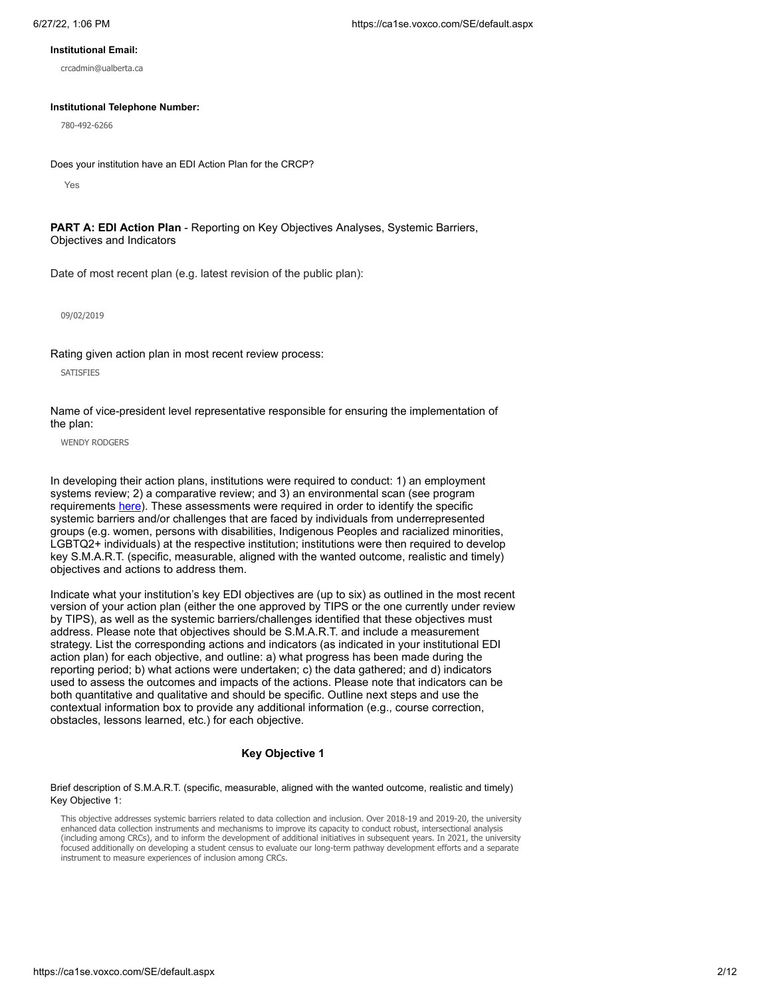#### **Institutional Email:**

crcadmin@ualberta.ca

#### **Institutional Telephone Number:**

780-492-6266

Does your institution have an EDI Action Plan for the CRCP?

Yes

PART A: EDI Action Plan - Reporting on Key Objectives Analyses, Systemic Barriers, Objectives and Indicators

Date of most recent plan (e.g. latest revision of the public plan):

09/02/2019

Rating given action plan in most recent review process:

**SATISFIES** 

Name of vice-president level representative responsible for ensuring the implementation of the plan:

WENDY RODGERS

In developing their action plans, institutions were required to conduct: 1) an employment systems review; 2) a comparative review; and 3) an environmental scan (see program requirements [here](https://www.chairs-chaires.gc.ca/program-programme/admin_guide-eng.aspx#equity_requirements)). These assessments were required in order to identify the specific systemic barriers and/or challenges that are faced by individuals from underrepresented groups (e.g. women, persons with disabilities, Indigenous Peoples and racialized minorities, LGBTQ2+ individuals) at the respective institution; institutions were then required to develop key S.M.A.R.T. (specific, measurable, aligned with the wanted outcome, realistic and timely) objectives and actions to address them.

Indicate what your institution's key EDI objectives are (up to six) as outlined in the most recent version of your action plan (either the one approved by TIPS or the one currently under review by TIPS), as well as the systemic barriers/challenges identified that these objectives must address. Please note that objectives should be S.M.A.R.T. and include a measurement strategy. List the corresponding actions and indicators (as indicated in your institutional EDI action plan) for each objective, and outline: a) what progress has been made during the reporting period; b) what actions were undertaken; c) the data gathered; and d) indicators used to assess the outcomes and impacts of the actions. Please note that indicators can be both quantitative and qualitative and should be specific. Outline next steps and use the contextual information box to provide any additional information (e.g., course correction, obstacles, lessons learned, etc.) for each objective.

## **Key Objective 1**

Brief description of S.M.A.R.T. (specific, measurable, aligned with the wanted outcome, realistic and timely) Key Objective 1:

This objective addresses systemic barriers related to data collection and inclusion. Over 2018-19 and 2019-20, the university enhanced data collection instruments and mechanisms to improve its capacity to conduct robust, intersectional analysis (including among CRCs), and to inform the development of additional initiatives in subsequent years. In 2021, the university focused additionally on developing a student census to evaluate our long-term pathway development efforts and a separate instrument to measure experiences of inclusion among CRCs.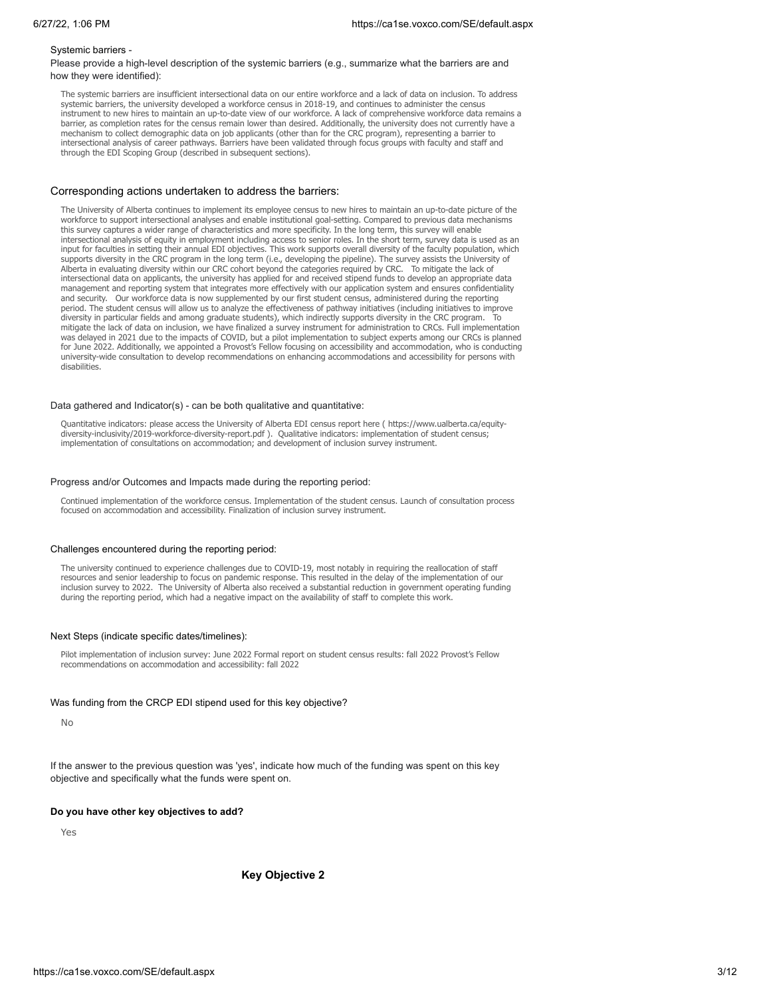#### Systemic barriers -

Please provide a high-level description of the systemic barriers (e.g., summarize what the barriers are and how they were identified):

The systemic barriers are insufficient intersectional data on our entire workforce and a lack of data on inclusion. To address systemic barriers, the university developed a workforce census in 2018-19, and continues to administer the census instrument to new hires to maintain an up-to-date view of our workforce. A lack of comprehensive workforce data remains a barrier, as completion rates for the census remain lower than desired. Additionally, the university does not currently have a mechanism to collect demographic data on job applicants (other than for the CRC program), representing a barrier to intersectional analysis of career pathways. Barriers have been validated through focus groups with faculty and staff and through the EDI Scoping Group (described in subsequent sections).

#### Corresponding actions undertaken to address the barriers:

The University of Alberta continues to implement its employee census to new hires to maintain an up-to-date picture of the workforce to support intersectional analyses and enable institutional goal-setting. Compared to previous data mechanisms this survey captures a wider range of characteristics and more specificity. In the long term, this survey will enable intersectional analysis of equity in employment including access to senior roles. In the short term, survey data is used as an input for faculties in setting their annual EDI objectives. This work supports overall diversity of the faculty population, which supports diversity in the CRC program in the long term (i.e., developing the pipeline). The survey assists the University of Alberta in evaluating diversity within our CRC cohort beyond the categories required by CRC. To mitigate the lack of intersectional data on applicants, the university has applied for and received stipend funds to develop an appropriate data management and reporting system that integrates more effectively with our application system and ensures confidentiality and security. Our workforce data is now supplemented by our first student census, administered during the reporting period. The student census will allow us to analyze the effectiveness of pathway initiatives (including initiatives to improve diversity in particular fields and among graduate students), which indirectly supports diversity in the CRC program. To mitigate the lack of data on inclusion, we have finalized a survey instrument for administration to CRCs. Full implementation was delayed in 2021 due to the impacts of COVID, but a pilot implementation to subject experts among our CRCs is planned for June 2022. Additionally, we appointed a Provost's Fellow focusing on accessibility and accommodation, who is conducting university-wide consultation to develop recommendations on enhancing accommodations and accessibility for persons with disabilities.

#### Data gathered and Indicator(s) - can be both qualitative and quantitative:

Quantitative indicators: please access the University of Alberta EDI census report here ( https://www.ualberta.ca/equitydiversity-inclusivity/2019-workforce-diversity-report.pdf ). Qualitative indicators: implementation of student census; implementation of consultations on accommodation; and development of inclusion survey instrument.

#### Progress and/or Outcomes and Impacts made during the reporting period:

Continued implementation of the workforce census. Implementation of the student census. Launch of consultation process focused on accommodation and accessibility. Finalization of inclusion survey instrument.

#### Challenges encountered during the reporting period:

The university continued to experience challenges due to COVID-19, most notably in requiring the reallocation of staff resources and senior leadership to focus on pandemic response. This resulted in the delay of the implementation of our inclusion survey to 2022. The University of Alberta also received a substantial reduction in government operating funding during the reporting period, which had a negative impact on the availability of staff to complete this work.

#### Next Steps (indicate specific dates/timelines):

Pilot implementation of inclusion survey: June 2022 Formal report on student census results: fall 2022 Provost's Fellow recommendations on accommodation and accessibility: fall 2022

## Was funding from the CRCP EDI stipend used for this key objective?

No

If the answer to the previous question was 'yes', indicate how much of the funding was spent on this key objective and specifically what the funds were spent on.

#### **Do you have other key objectives to add?**

Yes

**Key Objective 2**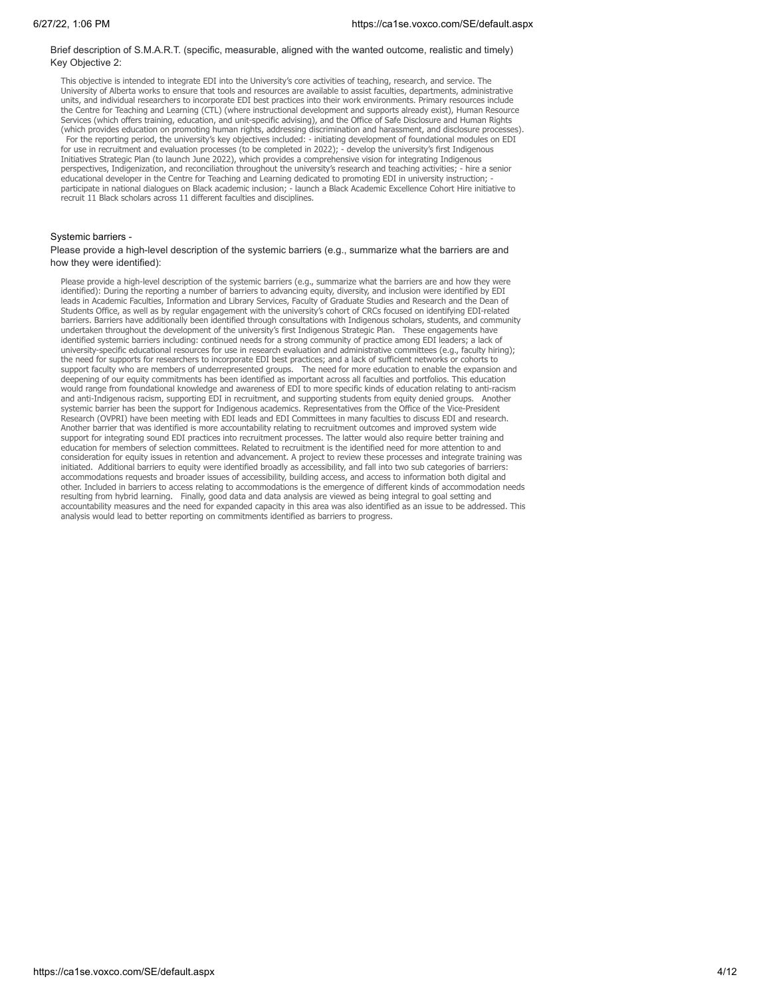#### Brief description of S.M.A.R.T. (specific, measurable, aligned with the wanted outcome, realistic and timely) Key Objective 2:

This objective is intended to integrate EDI into the University's core activities of teaching, research, and service. The University of Alberta works to ensure that tools and resources are available to assist faculties, departments, administrative units, and individual researchers to incorporate EDI best practices into their work environments. Primary resources include the Centre for Teaching and Learning (CTL) (where instructional development and supports already exist), Human Resource Services (which offers training, education, and unit-specific advising), and the Office of Safe Disclosure and Human Rights (which provides education on promoting human rights, addressing discrimination and harassment, and disclosure processes). For the reporting period, the university's key objectives included: - initiating development of foundational modules on EDI for use in recruitment and evaluation processes (to be completed in 2022); - develop the university's first Indigenous Initiatives Strategic Plan (to launch June 2022), which provides a comprehensive vision for integrating Indigenous perspectives, Indigenization, and reconciliation throughout the university's research and teaching activities; - hire a senior educational developer in the Centre for Teaching and Learning dedicated to promoting EDI in university instruction; participate in national dialogues on Black academic inclusion; - launch a Black Academic Excellence Cohort Hire initiative to recruit 11 Black scholars across 11 different faculties and disciplines.

### Systemic barriers -

#### Please provide a high-level description of the systemic barriers (e.g., summarize what the barriers are and how they were identified):

Please provide a high-level description of the systemic barriers (e.g., summarize what the barriers are and how they were identified): During the reporting a number of barriers to advancing equity, diversity, and inclusion were identified by EDI leads in Academic Faculties, Information and Library Services, Faculty of Graduate Studies and Research and the Dean of Students Office, as well as by regular engagement with the university's cohort of CRCs focused on identifying EDI-related barriers. Barriers have additionally been identified through consultations with Indigenous scholars, students, and community undertaken throughout the development of the university's first Indigenous Strategic Plan. These engagements have identified systemic barriers including: continued needs for a strong community of practice among EDI leaders; a lack of university-specific educational resources for use in research evaluation and administrative committees (e.g., faculty hiring); the need for supports for researchers to incorporate EDI best practices; and a lack of sufficient networks or cohorts to support faculty who are members of underrepresented groups. The need for more education to enable the expansion and deepening of our equity commitments has been identified as important across all faculties and portfolios. This education would range from foundational knowledge and awareness of EDI to more specific kinds of education relating to anti-racism and anti-Indigenous racism, supporting EDI in recruitment, and supporting students from equity denied groups. Another systemic barrier has been the support for Indigenous academics. Representatives from the Office of the Vice-President Research (OVPRI) have been meeting with EDI leads and EDI Committees in many faculties to discuss EDI and research. Another barrier that was identified is more accountability relating to recruitment outcomes and improved system wide support for integrating sound EDI practices into recruitment processes. The latter would also require better training and education for members of selection committees. Related to recruitment is the identified need for more attention to and consideration for equity issues in retention and advancement. A project to review these processes and integrate training was initiated. Additional barriers to equity were identified broadly as accessibility, and fall into two sub categories of barriers: accommodations requests and broader issues of accessibility, building access, and access to information both digital and other. Included in barriers to access relating to accommodations is the emergence of different kinds of accommodation needs<br>resulting from hybrid learning. Finally, good data and data analysis are viewed as being integra accountability measures and the need for expanded capacity in this area was also identified as an issue to be addressed. This analysis would lead to better reporting on commitments identified as barriers to progress.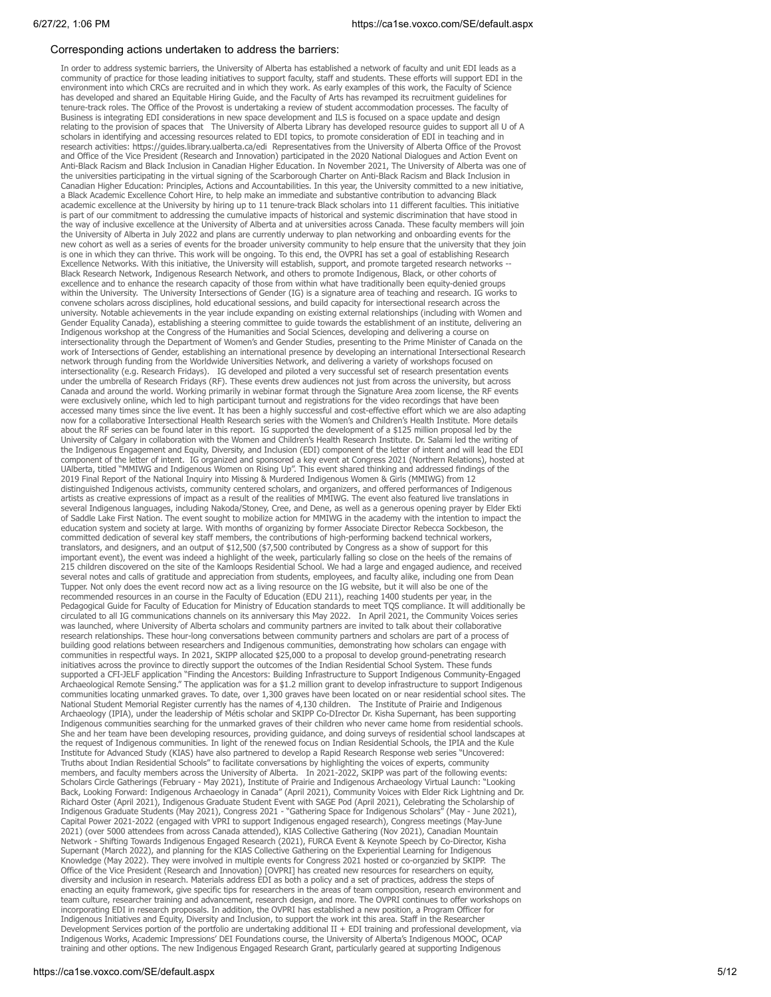#### Corresponding actions undertaken to address the barriers:

In order to address systemic barriers, the University of Alberta has established a network of facul ty and unit EDI leads as a communi ty of practice for those leading initiatives to support facul ty, staff and students. These efforts will support EDI in the environment into which CRCs are recruited and in which they work. As early examples of this work, the Faculty of Science has developed and shared an Equitable Hiring Guide, and the Faculty of Arts has revamped its recruitment guidelines for tenure-track roles. The Office of the Provost is undertaking a review of student accommodation processes. The faculty of<br>Business is integrating EDI considerations in new space development and ILS is focused on a space upd relating to the provision of spaces that The University of Alberta Library has developed resource guides to support all U of A scholars in identi fying and accessing resources related to EDI topics, to promote consideration of EDI in teaching and in research activities: https://guides.library.ualberta.ca/edi Representatives from the University of Alberta Office of the Provost and Office of the Vice President (Research and Innovation) participated in the 2020 National Dialogues and Action Event on Anti-Black Racism and Black Inclusion in Canadian Higher Education. In No vember 2021, The Universi ty of Alberta was one of the universities participating in the virtual signing of the Scarborough Charter on Anti-Black Racism and Black Inclusion in Canadian Higher Education: Principles, Actions and Accountabilities. In this year, the Universi ty commi tted to a new initiative, a Black Academic Excellence Cohort Hire, to help make an immediate and substantive contribution to advancing Black academic excellence at the University by hiring up to 11 tenure-track Black scholars into 11 different faculties. This initiative is part of our commitment to addressing the cumulative impacts of historical and systemic discrimination that ha ve stood in the way of inclusive excellence at the University of Alberta and at universities across Canada. These faculty members will join the Universi ty of Alberta in July 2022 and plans are currently underw ay to plan networking and onboarding events for the new cohort as well as a series of events for the broader university community to help ensure that the university that they join is one in which they can thrive. This work will be ongoing. To this end, the OVPRI has set a goal of establishing Research Excellence Networks. With this initiative, the University will establish, support, and promote targeted research networks --Black Research Network, Indigenous Research Network, and others to promote Indigenous, Black, or other cohorts of excellence and to enhance the research capacity of those from within what have traditionally been equity-denied groups within the University. The University Intersections of Gender (IG) is a signature area of teaching and research. IG works to con vene scholars across disciplines, hold educational sessions, and build capaci ty for intersectional research across the universi ty. Notable achievements in the year include expanding on existing external relationships (including with Women and Gender Equality Canada), establishing a steering committee to guide towards the establishment of an institute, delivering an Indigenous workshop at the Congress of the Humanities and Social Sciences, developing and delivering a course on intersectionality through the Department of Women's and Gender Studies, presenting to the Prime Minister of Canada on the work of Intersections of Gender, establishing an international presence by developing an international Intersectional Research network through funding from the Worldwide Universities Network, and delivering a variety of workshops focused on intersectionality (e.g. Research Fridays). IG developed and piloted a very successful set of research presentation events under the umbrella of Research Fridays (RF). These events drew audiences not just from across the university, but across Canada and around the world. Working primarily in webinar format through the Signature Area zoom license, the RF events were exclusively online, which led to high participant turnout and registrations for the video recordings that ha ve been accessed many times since the live event. It has been a highly successful and cost-effective effort which we are also adapting now for a collaborative Intersectional Health Research series with the Women's and Children's Health Institute. More details about the RF series can be found later in this report. IG supported the development of a \$125 million proposal led by the Universi ty of Calgary in collaboration with the Women and Children's Health Research Institute. Dr. Salami led the writing of the Indigenous Engagement and Equity, Diversity, and Inclusion (EDI) component of the letter of intent and will lead the EDI component of the letter of intent. IG organized and sponsored a key event at Congress 2021 (Northern Relations), hosted at<br>UAlberta, titled "MMIWG and Indigenous Women on Rising Up". This event shared thinking and address 2019 Final Report of the National Inquiry into Missing & Murdered Indigenous Women & Girls (MMIWG) f rom 12 distinguished Indigenous activists, communi ty centered scholars, and organizers, and offered performances of Indigenous artists as creative expressions of impact as a result of the realities of MMIWG. The event also featured live translations in several Indigenous languages, including Nakoda/Stoney, Cree, and Dene, as well as a generous opening prayer by Elder Ekti of Saddle Lake First Nation. The event sought to mobilize action for MMIWG in the academy with the intention to impact the education system and society at large. With months of organizing by former Associate Director Rebecca Sockbeson, the commi tted dedication of several key staff members, the contributions of high-performing backend technical workers, translators, and designers, and an output of \$12,500 (\$7,500 contributed by Congress as a show of support for this important event), the event was indeed a highlight of the week, particularly falling so close on the heels of the remains of<br>215 children discovered on the site of the Kamloops Residential School. We had a large and engage Tupper. Not only does the event record now act as a living resource on the IG website, but it will also be one of the recommended resources in an course in the Faculty of Education (EDU 211), reaching 1400 students per year, in the Pedagogical Guide for Faculty of Education for Ministry of Education standards to meet TQS compliance. It will additionally be circulated to all IG communications channels on its anniversary this May 2022. In April 2021, the Communi ty Voices series was launched, where University of Alberta scholars and community partners are invited to talk about their collaborative research relationships. These hour-long conversations between community partners and scholars are part of a process of building good relations between researchers and Indigenous communities, demonstrating how scholars can engage with communities in respectful w ays. In 2021, SKIPP allocated \$25,000 to a proposal to develop ground-penetrating research initiatives across the province to directly support the outcomes of the Indian Residential School System. These funds supported a CFI -JELF application "Finding the Ancestors: Building Inf rastructure to Support Indigenous Communi ty-Engaged Archaeological Remote Sensing." The application was for a \$1.2 million grant to develop inf rastructure to support Indigenous communities locating unmarked graves. To date, over 1,300 graves have been located on or near residential school sites. The National Student Memorial Register currently has the names of 4,130 children. The Institute of Prairie and Indigenous Archaeology (IPIA), under the leadership of Métis scholar and SKIPP Co-DI rector Dr. Kisha Supernant, has been supporting Indigenous communities searching for the unmarked graves of their children who never came home from residential schools. She and her team have been developing resources, providing guidance, and doing surveys of residential school landscapes at the request of Indigenous communities. In light of the renewed focus on Indian Residential Schools, the IPIA and the Kule Institute for Advanced Study (KIAS) have also partnered to develop a Rapid Research Response web series "Uncovered:<br>Truths about Indian Residential Schools" to facilitate conversations by highlighting the voices of experts members, and faculty members across the University of Alberta. In 2021-2022, SKIPP was part of the following events: Scholars Circle Gatherings (February - May 2021), Institute of Prairie and Indigenous Archaeology Virtual Launch: "Looking Back, Looking Forward: Indigenous Archaeology in Canada" (April 2021), Community Voices with Elder Rick Lightning and Dr.<br>Richard Oster (April 2021), Indigenous Graduate Student Event with SAGE Pod (April 2021), Celebratin 2021) (o ver 5000 attendees f rom across Canada attended), KIAS Collective Gathering (Nov 2021), Canadian Mountain Network - Shifting Towards Indigenous Engaged Research (2021), FURCA Event & Keynote Speech by Co-Director, Kisha Supernant (March 2022), and planning for the KIAS Collective Gathering on the Experiential Learning for Indigenous Knowledge (May 2022). They were involved in multiple events for Congress 2021 hosted or co-organzied by SKIPP. The Office of the Vice President (Research and Innovation) [OVPRI] has created new resources for researchers on equity, diversi ty and inclusion in research. Materials address EDI as both a policy and a set of practices, address the steps of enacting an equity framework, give specific tips for researchers in the areas of team composition, research environment and team culture, researcher training and advancement, research design, and more. The OVPRI continues to offer workshops on incorporating EDI in research proposals. In addition, the OVPRI has established a new position, a Program Officer for Indigenous Initiatives and Equity, Diversity and Inclusion, to support the work int this area. Staff in the Researcher Development Services portion of the portfolio are undertaking additional II + EDI training and professional development, via Indigenous Works, Academic Impressions' DEI Foundations course, the University of Alberta's Indigenous MOOC, OCAP training and other options. The new Indigenous Engaged Research Grant, particularly geared at supporting Indigenous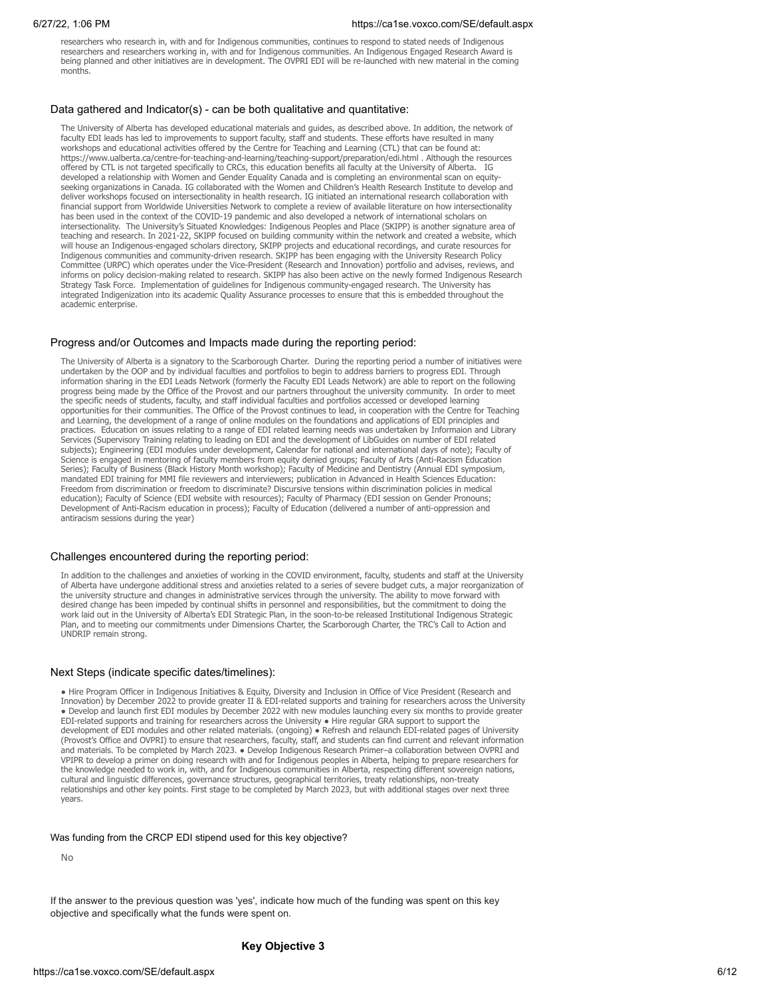researchers who research in, with and for Indigenous communities, continues to respond to stated needs of Indigenous researchers and researchers working in, with and for Indigenous communities. An Indigenous Engaged Research Award is being planned and other initiatives are in development. The OVPRI EDI will be re-launched with new material in the coming months.

## Data gathered and Indicator(s) - can be both qualitative and quantitative:

The University of Alberta has developed educational materials and guides, as described above. In addition, the network of faculty EDI leads has led to improvements to support faculty, staff and students. These efforts have resulted in many workshops and educational activities offered by the Centre for Teaching and Learning (CTL) that can be found at: https://www.ualberta.ca/centre-for-teaching-and-learning/teaching-support/preparation/edi.html . Although the resources offered by CTL is not targeted specifically to CRCs, this education benefits all faculty at the University of Alberta. IG developed a relationship with Women and Gender Equality Canada and is completing an environmental scan on equityseeking organizations in Canada. IG collaborated with the Women and Children's Health Research Institute to develop and deliver workshops focused on intersectionality in health research. IG initiated an international research collaboration with financial support from Worldwide Universities Network to complete a review of available literature on how intersectionality has been used in the context of the COVID-19 pandemic and also developed a network of international scholars on intersectionality. The University's Situated Knowledges: Indigenous Peoples and Place (SKIPP) is another signature area of teaching and research. In 2021-22, SKIPP focused on building community within the network and created a website, which will house an Indigenous-engaged scholars directory, SKIPP projects and educational recordings, and curate resources for Indigenous communities and community-driven research. SKIPP has been engaging with the University Research Policy Committee (URPC) which operates under the Vice-President (Research and Innovation) portfolio and advises, reviews, and informs on policy decision-making related to research. SKIPP has also been active on the newly formed Indigenous Research Strategy Task Force. Implementation of guidelines for Indigenous community-engaged research. The University has integrated Indigenization into its academic Quality Assurance processes to ensure that this is embedded throughout the academic enterprise.

## Progress and/or Outcomes and Impacts made during the reporting period:

The University of Alberta is a signatory to the Scarborough Charter. During the reporting period a number of initiatives were undertaken by the OOP and by individual faculties and portfolios to begin to address barriers to progress EDI. Through information sharing in the EDI Leads Network (formerly the Faculty EDI Leads Network) are able to report on the following progress being made by the Office of the Provost and our partners throughout the university community. In order to meet the specific needs of students, faculty, and staff individual faculties and portfolios accessed or developed learning opportunities for their communities. The Office of the Provost continues to lead, in cooperation with the Centre for Teaching and Learning, the development of a range of online modules on the foundations and applications of EDI principles and practices. Education on issues relating to a range of EDI related learning needs was undertaken by Informaion and Library Services (Supervisory Training relating to leading on EDI and the development of LibGuides on number of EDI related subjects); Engineering (EDI modules under development, Calendar for national and international days of note); Faculty of Science is engaged in mentoring of faculty members from equity denied groups; Faculty of Arts (Anti-Racism Education Series); Faculty of Business (Black History Month workshop); Faculty of Medicine and Dentistry (Annual EDI symposium, mandated EDI training for MMI file reviewers and interviewers; publication in Advanced in Health Sciences Education: Freedom from discrimination or freedom to discriminate? Discursive tensions within discrimination policies in medical education); Faculty of Science (EDI website with resources); Faculty of Pharmacy (EDI session on Gender Pronouns; Development of Anti-Racism education in process); Faculty of Education (delivered a number of anti-oppression and antiracism sessions during the year)

## Challenges encountered during the reporting period:

In addition to the challenges and anxieties of working in the COVID environment, faculty, students and staff at the University of Alberta have undergone additional stress and anxieties related to a series of severe budget cuts, a major reorganization of the university structure and changes in administrative services through the university. The ability to move forward with desired change has been impeded by continual shifts in personnel and responsibilities, but the commitment to doing the work laid out in the University of Alberta's EDI Strategic Plan, in the soon-to-be released Institutional Indigenous Strategic Plan, and to meeting our commitments under Dimensions Charter, the Scarborough Charter, the TRC's Call to Action and UNDRIP remain strong.

## Next Steps (indicate specific dates/timelines):

● Hire Program Officer in Indigenous Initiatives & Equity, Diversity and Inclusion in Office of Vice President (Research and Innovation) by December 2022 to provide greater II & EDI-related supports and training for researchers across the University ● Develop and launch first EDI modules by December 2022 with new modules launching every six months to provide greater EDI-related supports and training for researchers across the University ● Hire regular GRA support to support the development of EDI modules and other related materials. (ongoing) ● Refresh and relaunch EDI-related pages of University (Provost's Office and OVPRI) to ensure that researchers, faculty, staff, and students can find current and relevant information and materials. To be completed by March 2023. ● Develop Indigenous Research Primer–a collaboration between OVPRI and VPIPR to develop a primer on doing research with and for Indigenous peoples in Alberta, helping to prepare researchers for the knowledge needed to work in, with, and for Indigenous communities in Alberta, respecting different sovereign nations, cultural and linguistic differences, governance structures, geographical territories, treaty relationships, non-treaty relationships and other key points. First stage to be completed by March 2023, but with additional stages over next three years.

## Was funding from the CRCP EDI stipend used for this key objective?

No

If the answer to the previous question was 'yes', indicate how much of the funding was spent on this key objective and specifically what the funds were spent on.

## **Key Objective 3**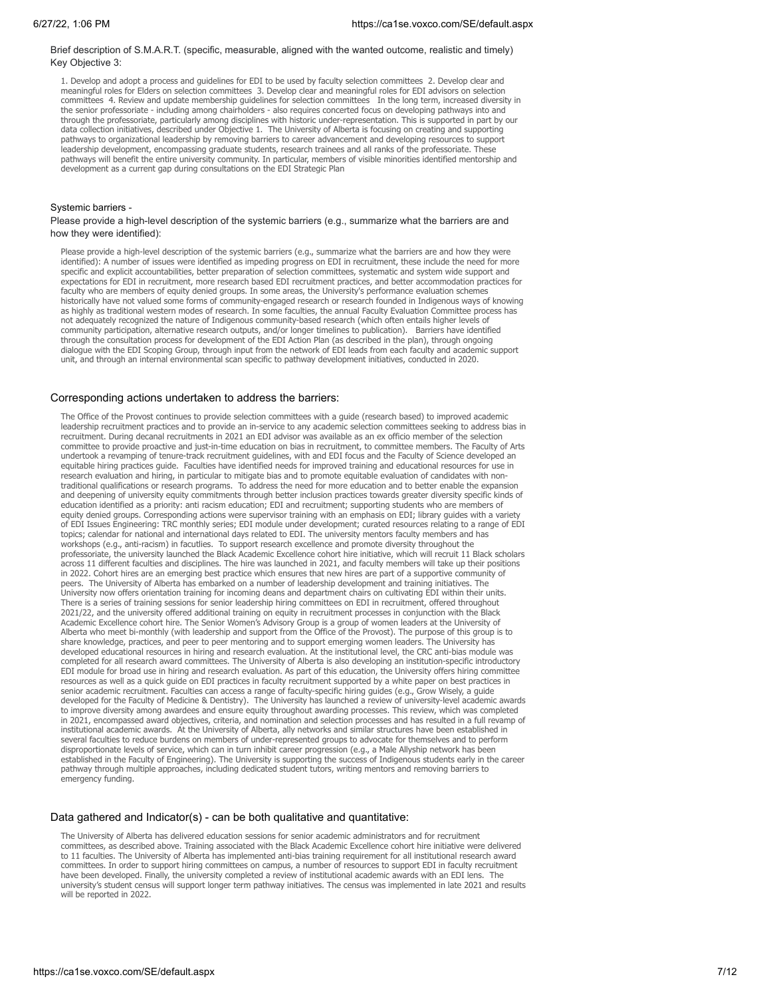#### Brief description of S.M.A.R.T. (specific, measurable, aligned with the wanted outcome, realistic and timely) Key Objective 3:

1. Develop and adopt a process and guidelines for EDI to be used by faculty selection committees 2. Develop clear and meaningful roles for Elders on selection committees 3. Develop clear and meaningful roles for EDI advisors on selection committees 4. Review and update membership guidelines for selection committees In the long term, increased diversity in the senior professoriate - including among chairholders - also requires concerted focus on developing pathways into and through the professoriate, particularly among disciplines with historic under-representation. This is supported in part by our data collection initiatives, described under Objective 1. The University of Alberta is focusing on creating and supporting pathways to organizational leadership by removing barriers to career advancement and developing resources to support leadership development, encompassing graduate students, research trainees and all ranks of the professoriate. These pathways will benefit the entire university community. In particular, members of visible minorities identified mentorship and development as a current gap during consultations on the EDI Strategic Plan

## Systemic barriers -

Please provide a high-level description of the systemic barriers (e.g., summarize what the barriers are and how they were identified):

Please provide a high-level description of the systemic barriers (e.g., summarize what the barriers are and how they were identified): A number of issues were identified as impeding progress on EDI in recruitment, these include the need for more specific and explicit accountabilities, better preparation of selection committees, systematic and system wide support and expectations for EDI in recruitment, more research based EDI recruitment practices, and better accommodation practices for faculty who are members of equity denied groups. In some areas, the University's performance evaluation schemes historically have not valued some forms of community-engaged research or research founded in Indigenous ways of knowing as highly as traditional western modes of research. In some faculties, the annual Faculty Evaluation Committee process has not adequately recognized the nature of Indigenous community-based research (which often entails higher levels of community participation, alternative research outputs, and/or longer timelines to publication). Barriers have identified through the consultation process for development of the EDI Action Plan (as described in the plan), through ongoing<br>dialogue with the EDI Scoping Group, through input from the network of EDI leads from each faculty and aca unit, and through an internal environmental scan specific to pathway development initiatives, conducted in 2020.

#### Corresponding actions undertaken to address the barriers:

The Office of the Provost continues to provide selection committees with a guide (research based) to improved academic leadership recruitment practices and to provide an in-service to any academic selection committees seeking to address bias in recruitment. During decanal recruitments in 2021 an EDI advisor was available as an ex officio member of the selection committee to provide proactive and just-in-time education on bias in recruitment, to committee members. The Faculty of Arts undertook a revamping of tenure-track recruitment guidelines, with and EDI focus and the Faculty of Science developed an equitable hiring practices guide. Faculties have identified needs for improved training and educational resources for use in research evaluation and hiring, in particular to mitigate bias and to promote equitable evaluation of candidates with nontraditional qualifications or research programs. To address the need for more education and to better enable the expansion and deepening of university equity commitments through better inclusion practices towards greater diversity specific kinds of education identified as a priority: anti racism education; EDI and recruitment; supporting students who are members of equity denied groups. Corresponding actions were supervisor training with an emphasis on EDI; library guides with a variety of EDI Issues Engineering: TRC monthly series; EDI module under development; curated resources relating to a range of EDI topics; calendar for national and international days related to EDI. The university mentors faculty members and has workshops (e.g., anti-racism) in facutlies. To support research excellence and promote diversity throughout the professoriate, the university launched the Black Academic Excellence cohort hire initiative, which will recruit 11 Black scholars across 11 different faculties and disciplines. The hire was launched in 2021, and faculty members will take up their positions in 2022. Cohort hires are an emerging best practice which ensures that new hires are part of a supportive community of peers. The University of Alberta has embarked on a number of leadership development and training initiatives. The University now offers orientation training for incoming deans and department chairs on cultivating EDI within their units. There is a series of training sessions for senior leadership hiring committees on EDI in recruitment, offered throughout 2021/22, and the university offered additional training on equity in recruitment processes in conjunction with the Black Academic Excellence cohort hire. The Senior Women's Advisory Group is a group of women leaders at the University of Alberta who meet bi-monthly (with leadership and support from the Office of the Provost). The purpose of this group is to share knowledge, practices, and peer to peer mentoring and to support emerging women leaders. The University has developed educational resources in hiring and research evaluation. At the institutional level, the CRC anti-bias module was completed for all research award committees. The University of Alberta is also developing an institution-specific introductory EDI module for broad use in hiring and research evaluation. As part of this education, the University offers hiring committee resources as well as a quick guide on EDI practices in faculty recruitment supported by a white paper on best practices in senior academic recruitment. Faculties can access a range of faculty-specific hiring guides (e.g., Grow Wisely, a guide developed for the Faculty of Medicine & Dentistry). The University has launched a review of university-level academic awards to improve diversity among awardees and ensure equity throughout awarding processes. This review, which was completed in 2021, encompassed award objectives, criteria, and nomination and selection processes and has resulted in a full revamp of institutional academic awards. At the University of Alberta, ally networks and similar structures have been established in several faculties to reduce burdens on members of under-represented groups to advocate for themselves and to perform disproportionate levels of service, which can in turn inhibit career progression (e.g., a Male Allyship network has been established in the Faculty of Engineering). The University is supporting the success of Indigenous students early in the career pathway through multiple approaches, including dedicated student tutors, writing mentors and removing barriers to emergency funding.

#### Data gathered and Indicator(s) - can be both qualitative and quantitative:

The University of Alberta has delivered education sessions for senior academic administrators and for recruitment committees, as described above. Training associated with the Black Academic Excellence cohort hire initiative were delivered to 11 faculties. The University of Alberta has implemented anti-bias training requirement for all institutional research award committees. In order to support hiring committees on campus, a number of resources to support EDI in faculty recruitment have been developed. Finally, the university completed a review of institutional academic awards with an EDI lens. The university's student census will support longer term pathway initiatives. The census was implemented in late 2021 and results will be reported in 2022.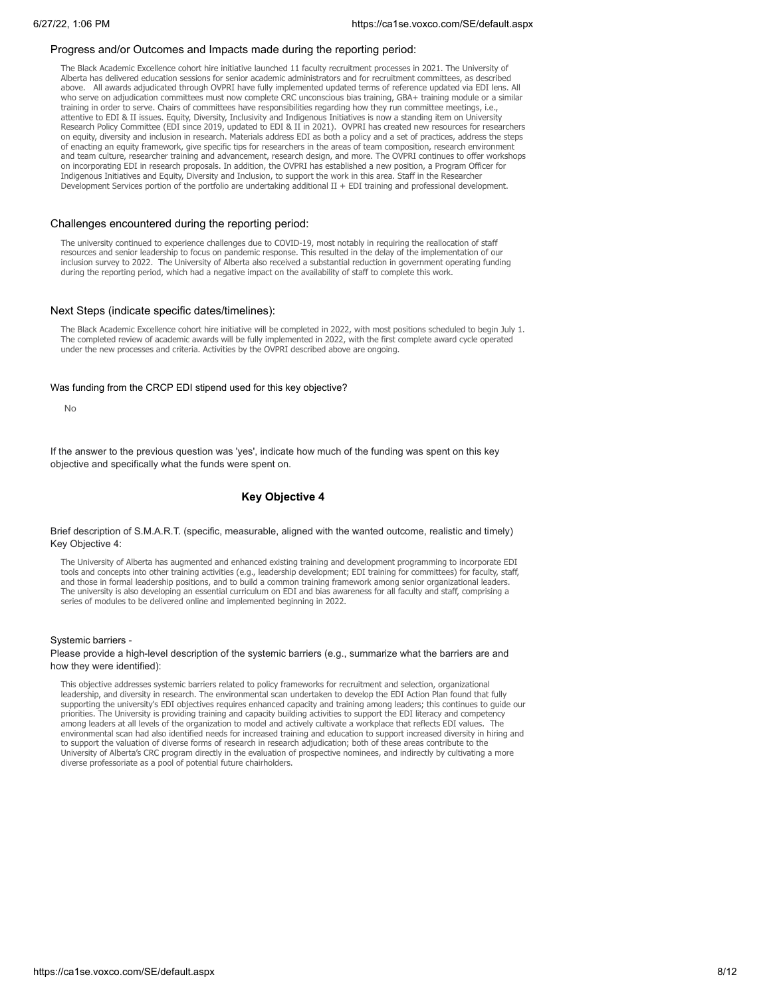#### Progress and/or Outcomes and Impacts made during the reporting period:

The Black Academic Excellence cohort hire initiative launched 11 faculty recruitment processes in 2021. The University of Alberta has delivered education sessions for senior academic administrators and for recruitment committees, as described above. All awards adjudicated through OVPRI have fully implemented updated terms of reference updated via EDI lens. All who serve on adjudication committees must now complete CRC unconscious bias training, GBA+ training module or a similar training in order to serve. Chairs of committees have responsibilities regarding how they run committee meetings, i.e., attentive to EDI & II issues. Equity, Diversity, Inclusivity and Indigenous Initiatives is now a standing item on University Research Policy Committee (EDI since 2019, updated to EDI & II in 2021). OVPRI has created new resources for researchers on equity, diversity and inclusion in research. Materials address EDI as both a policy and a set of practices, address the steps of enacting an equity framework, give specific tips for researchers in the areas of team composition, research environment and team culture, researcher training and advancement, research design, and more. The OVPRI continues to offer workshops on incorporating EDI in research proposals. In addition, the OVPRI has established a new position, a Program Officer for Indigenous Initiatives and Equity, Diversity and Inclusion, to support the work in this area. Staff in the Researcher Development Services portion of the portfolio are undertaking additional II + EDI training and professional development.

#### Challenges encountered during the reporting period:

The university continued to experience challenges due to COVID-19, most notably in requiring the reallocation of staff resources and senior leadership to focus on pandemic response. This resulted in the delay of the implementation of our inclusion survey to 2022. The University of Alberta also received a substantial reduction in government operating funding during the reporting period, which had a negative impact on the availability of staff to complete this work.

## Next Steps (indicate specific dates/timelines):

The Black Academic Excellence cohort hire initiative will be completed in 2022, with most positions scheduled to begin July 1. The completed review of academic awards will be fully implemented in 2022, with the first complete award cycle operated under the new processes and criteria. Activities by the OVPRI described above are ongoing.

#### Was funding from the CRCP EDI stipend used for this key objective?

No

If the answer to the previous question was 'yes', indicate how much of the funding was spent on this key objective and specifically what the funds were spent on.

## **Key Objective 4**

Brief description of S.M.A.R.T. (specific, measurable, aligned with the wanted outcome, realistic and timely) Key Objective 4:

The University of Alberta has augmented and enhanced existing training and development programming to incorporate EDI tools and concepts into other training activities (e.g., leadership development; EDI training for committees) for faculty, staff, and those in formal leadership positions, and to build a common training framework among senior organizational leaders. The university is also developing an essential curriculum on EDI and bias awareness for all faculty and staff, comprising a series of modules to be delivered online and implemented beginning in 2022.

#### Systemic barriers -

#### Please provide a high-level description of the systemic barriers (e.g., summarize what the barriers are and how they were identified):

This objective addresses systemic barriers related to policy frameworks for recruitment and selection, organizational leadership, and diversity in research. The environmental scan undertaken to develop the EDI Action Plan found that fully supporting the university's EDI objectives requires enhanced capacity and training among leaders; this continues to guide our priorities. The University is providing training and capacity building activities to support the EDI literacy and competency among leaders at all levels of the organization to model and actively cultivate a workplace that reflects EDI values. The environmental scan had also identified needs for increased training and education to support increased diversity in hiring and to support the valuation of diverse forms of research in research adjudication; both of these areas contribute to the University of Alberta's CRC program directly in the evaluation of prospective nominees, and indirectly by cultivating a more diverse professoriate as a pool of potential future chairholders.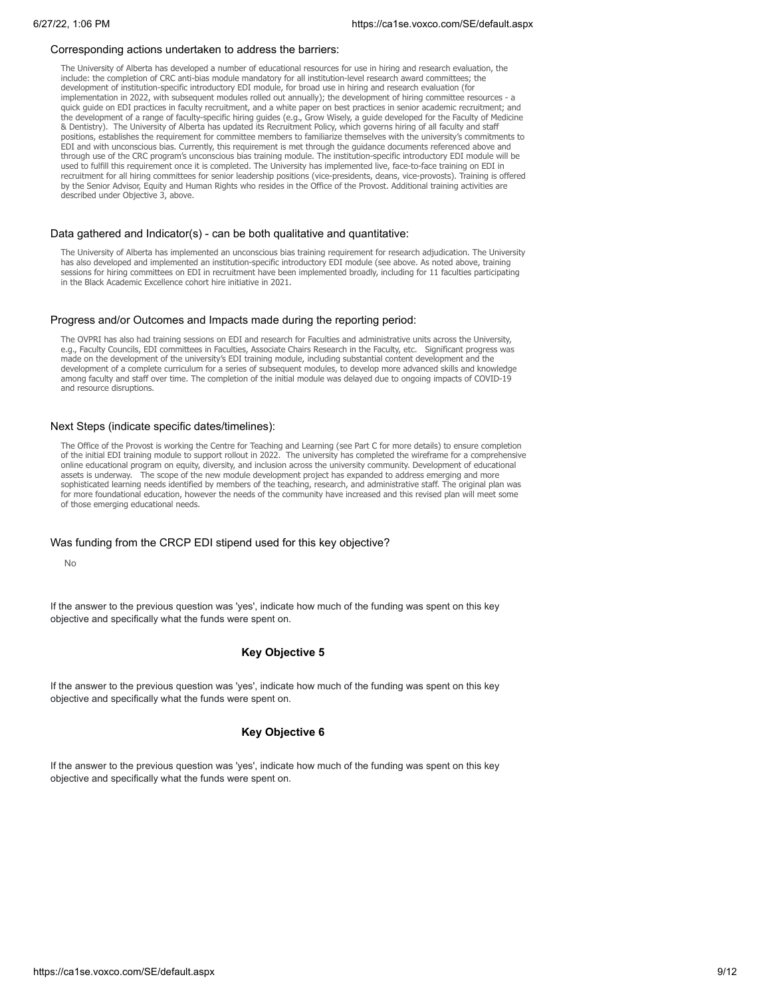#### Corresponding actions undertaken to address the barriers:

The University of Alberta has developed a number of educational resources for use in hiring and research evaluation, the include: the completion of CRC anti-bias module mandatory for all institution-level research award committees; the development of institution-specific introductory EDI module, for broad use in hiring and research evaluation (for implementation in 2022, with subsequent modules rolled out annually); the development of hiring committee resources - a quick guide on EDI practices in faculty recruitment, and a white paper on best practices in senior academic recruitment; and the development of a range of faculty-specific hiring guides (e.g., Grow Wisely, a guide developed for the Faculty of Medicine & Dentistry). The University of Alberta has updated its Recruitment Policy, which governs hiring of all faculty and staff positions, establishes the requirement for committee members to familiarize themselves with the university's commitments to EDI and with unconscious bias. Currently, this requirement is met through the guidance documents referenced above and through use of the CRC program's unconscious bias training module. The institution-specific introductory EDI module will be used to fulfill this requirement once it is completed. The University has implemented live, face-to-face training on EDI in recruitment for all hiring committees for senior leadership positions (vice-presidents, deans, vice-provosts). Training is offered by the Senior Advisor, Equity and Human Rights who resides in the Office of the Provost. Additional training activities are described under Objective 3, above.

#### Data gathered and Indicator(s) - can be both qualitative and quantitative:

The University of Alberta has implemented an unconscious bias training requirement for research adjudication. The University has also developed and implemented an institution-specific introductory EDI module (see above. As noted above, training sessions for hiring committees on EDI in recruitment have been implemented broadly, including for 11 faculties participating in the Black Academic Excellence cohort hire initiative in 2021.

#### Progress and/or Outcomes and Impacts made during the reporting period:

The OVPRI has also had training sessions on EDI and research for Faculties and administrative units across the University, e.g., Faculty Councils, EDI committees in Faculties, Associate Chairs Research in the Faculty, etc. Significant progress was made on the development of the university's EDI training module, including substantial content development and the development of a complete curriculum for a series of subsequent modules, to develop more advanced skills and knowledge among faculty and staff over time. The completion of the initial module was delayed due to ongoing impacts of COVID-19 and resource disruptions.

## Next Steps (indicate specific dates/timelines):

The Office of the Provost is working the Centre for Teaching and Learning (see Part C for more details) to ensure completion of the initial EDI training module to support rollout in 2022. The university has completed the wireframe for a comprehensive online educational program on equity, diversity, and inclusion across the university community. Development of educational assets is underway. The scope of the new module development project has expanded to address emerging and more sophisticated learning needs identified by members of the teaching, research, and administrative staff. The original plan was for more foundational education, however the needs of the community have increased and this revised plan will meet some of those emerging educational needs.

#### Was funding from the CRCP EDI stipend used for this key objective?

No

If the answer to the previous question was 'yes', indicate how much of the funding was spent on this key objective and specifically what the funds were spent on.

## **Key Objective 5**

If the answer to the previous question was 'yes', indicate how much of the funding was spent on this key objective and specifically what the funds were spent on.

## **Key Objective 6**

If the answer to the previous question was 'yes', indicate how much of the funding was spent on this key objective and specifically what the funds were spent on.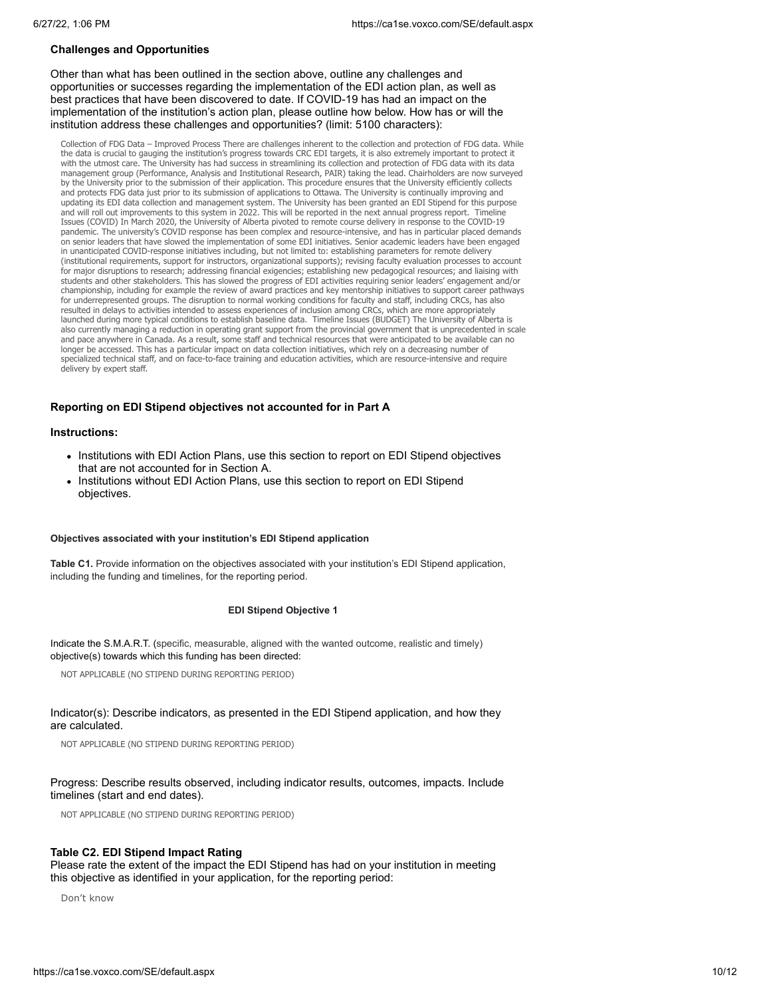## **Challenges and Opportunities**

Other than what has been outlined in the section above, outline any challenges and opportunities or successes regarding the implementation of the EDI action plan, as well as best practices that have been discovered to date. If COVID-19 has had an impact on the implementation of the institution's action plan, please outline how below. How has or will the institution address these challenges and opportunities? (limit: 5100 characters):

Collection of FDG Data — Improved Process There are challenges inherent to the collection and protection of FDG data. While<br>the data is crucial to gauging the institution's progress towards CRC EDI targets, it is also extr with the utmost care. The University has had success in streamlining its collection and protection of FDG data with its data management group (Performance, Analysis and Institutional Research, PAIR) taking the lead. Chairholders are now surveyed by the University prior to the submission of their application. This procedure ensures that the University efficiently collects and protects FDG data just prior to its submission of applications to Ottawa. The University is continually improving and updating its EDI data collection and management system. The University has been granted an EDI Stipend for this purpose and will roll out improvements to this system in 2022. This will be reported in the next annual progress report. Timeli Issues (COVID) In March 2020, the University of Alberta pivoted to remote course delivery in response to the COVID-19 pandemic. The university's COVID response has been complex and resource-intensive, and has in particular placed demands on senior leaders that have slowed the implementation of some EDI initiatives. Senior academic leaders have been engaged in unanticipated COVID-response initiatives including, but not limited to: establishing parameters for remote delivery (institutional requirements, support for instructors, organizational supports); revising faculty evaluation processes to account for major disruptions to research; addressing financial exigencies; establishing new pedagogical resources; and liaising with students and other stakeholders. This has slowed the progress of EDI activities requiring senior leaders' engagement and/or championship, including for example the review of award practices and key mentorship initiatives to support career pathways for underrepresented groups. The disruption to normal working conditions for faculty and staff, including CRCs, has also resulted in delays to activities intended to assess experiences of inclusion among CRCs, which are more appropriately launched during more typical conditions to establish baseline data. Timeline Issues (BUDGET) The University of Alberta is also currently managing a reduction in operating grant support from the provincial government that is unprecedented in scale and pace anywhere in Canada. As a result, some staff and technical resources that were anticipated to be available can no longer be accessed. This has a particular impact on data collection initiatives, which rely on a decreasing number of specialized technical staff, and on face-to-face training and education activities, which are resource-intensive and require delivery by expert staff.

## **Reporting on EDI Stipend objectives not accounted for in Part A**

#### **Instructions:**

- Institutions with EDI Action Plans, use this section to report on EDI Stipend objectives that are not accounted for in Section A.
- Institutions without EDI Action Plans, use this section to report on EDI Stipend objectives.

## **Objectives associated with your institution's EDI Stipend application**

**Table C1.** Provide information on the objectives associated with your institution's EDI Stipend application, including the funding and timelines, for the reporting period.

### **EDI Stipend Objective 1**

Indicate the S.M.A.R.T. (specific, measurable, aligned with the wanted outcome, realistic and timely) objective(s) towards which this funding has been directed:

NOT APPLICABLE (NO STIPEND DURING REPORTING PERIOD)

## Indicator(s): Describe indicators, as presented in the EDI Stipend application, and how they are calculated.

NOT APPLICABLE (NO STIPEND DURING REPORTING PERIOD)

## Progress: Describe results observed, including indicator results, outcomes, impacts. Include timelines (start and end dates).

NOT APPLICABLE (NO STIPEND DURING REPORTING PERIOD)

## **Table C2. EDI Stipend Impact Rating**

Please rate the extent of the impact the EDI Stipend has had on your institution in meeting this objective as identified in your application, for the reporting period:

Don't know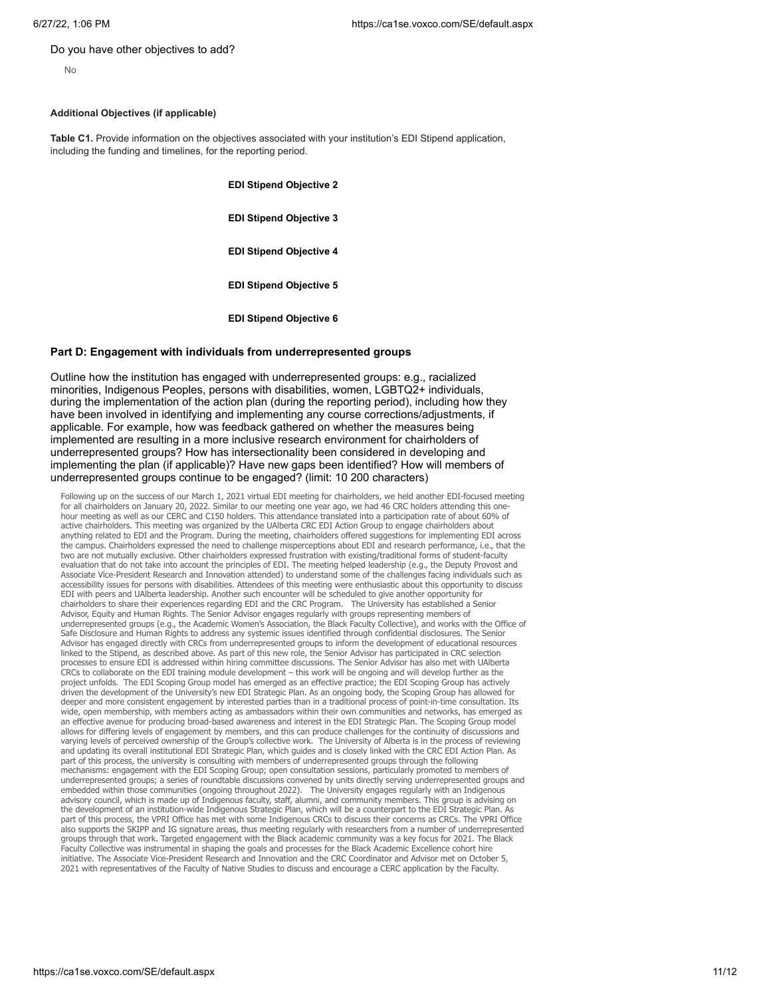#### Do you have other objectives to add?

## **Additional Objectives (if applicable)**

**Table C1.** Provide information on the objectives associated with your institution's EDI Stipend application, including the funding and timelines, for the reporting period.

**EDI Stipend Objective 2**

**EDI Stipend Objective 3**

**EDI Stipend Objective 4**

**EDI Stipend Objective 5**

**EDI Stipend Objective 6**

## **Part D: Engagement with individuals from underrepresented groups**

Outline how the institution has engaged with underrepresented groups: e.g., racialized minorities, Indigenous Peoples, persons with disabilities, women, LGBTQ2+ individuals, during the implementation of the action plan (during the reporting period), including how they have been involved in identifying and implementing any course corrections/adjustments, if applicable. For example, how was feedback gathered on whether the measures being implemented are resulting in a more inclusive research environment for chairholders of underrepresented groups? How has intersectionality been considered in developing and implementing the plan (if applicable)? Have new gaps been identified? How will members of underrepresented groups continue to be engaged? (limit: 10 200 characters)

Following up on the success of our March 1, 2021 virtual EDI meeting for chairholders, we held another EDI-focused meeting for all chairholders on January 20, 2022. Similar to our meeting one year ago, we had 46 CRC holders attending this one-<br>hour meeting as well as our CERC and C150 holders. This attendance translated into a participation ra active chairholders. This meeting was organized by the UAlberta CRC EDI Action Group to engage chairholders about anything related to EDI and the Program. During the meeting, chairholders offered suggestions for implementing EDI across the campus. Chairholders expressed the need to challenge misperceptions about EDI and research performance, i.e., that the two are not mutually exclusive. Other chairholders expressed frustration with existing/traditional forms of student-faculty evaluation that do not take into account the principles of EDI. The meeting helped leadership (e.g., the Deputy Provost and Associate Vice-President Research and Innovation attended) to understand some of the challenges facing individuals such as accessibility issues for persons with disabilities. Attendees of this meeting were enthusiastic about this opportunity to discuss EDI with peers and UAlberta leadership. Another such encounter will be scheduled to give another opportunity for chairholders to share their experiences regarding EDI and the CRC Program. The University has established a Senior Advisor, Equity and Human Rights. The Senior Advisor engages regularly with groups representing members of underrepresented groups (e.g., the Academic Women's Association, the Black Faculty Collective), and works with the Office of Safe Disclosure and Human Rights to address any systemic issues identified through confidential disclosures. The Senior Advisor has engaged directly with CRCs from underrepresented groups to inform the development of educational resources linked to the Stipend, as described above. As part of this new role, the Senior Advisor has participated in CRC selection processes to ensure EDI is addressed within hiring committee discussions. The Senior Advisor has also met with UAlberta CRCs to collaborate on the EDI training module development – this work will be ongoing and will develop further as the project unfolds. The EDI Scoping Group model has emerged as an effective practice; the EDI Scoping Group has actively driven the development of the University's new EDI Strategic Plan. As an ongoing body, the Scoping Group has allowed for deeper and more consistent engagement by interested parties than in a traditional process of point-in-time consultation. Its wide, open membership, with members acting as ambassadors within their own communities and networks, has emerged as an effective avenue for producing broad-based awareness and interest in the EDI Strategic Plan. The Scoping Group model allows for differing levels of engagement by members, and this can produce challenges for the continuity of discussions and varying levels of perceived ownership of the Group's collective work. The University of Alberta is in the process of reviewing and updating its overall institutional EDI Strategic Plan, which guides and is closely linked with the CRC EDI Action Plan. As part of this process, the university is consulting with members of underrepresented groups through the following mechanisms: engagement with the EDI Scoping Group; open consultation sessions, particularly promoted to members of underrepresented groups; a series of roundtable discussions convened by units directly serving underrepresented groups and embedded within those communities (ongoing throughout 2022). The University engages regularly with an Indigenous advisory council, which is made up of Indigenous faculty, staff, alumni, and community members. This group is advising on the development of an institution-wide Indigenous Strategic Plan, which will be a counterpart to the EDI Strategic Plan. As part of this process, the VPRI Office has met with some Indigenous CRCs to discuss their concerns as CRCs. The VPRI Office also supports the SKIPP and IG signature areas, thus meeting regularly with researchers from a number of underrepresented groups through that work. Targeted engagement with the Black academic community was a key focus for 2021. The Black<br>Faculty Collective was instrumental in shaping the goals and processes for the Black Academic Excellence c initiative. The Associate Vice-President Research and Innovation and the CRC Coordinator and Advisor met on October 5, 2021 with representatives of the Faculty of Native Studies to discuss and encourage a CERC application by the Faculty.

No